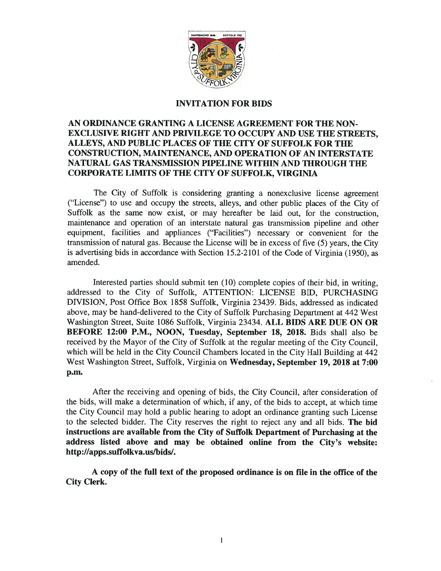

### INVITATION FOR BIDS

## AN ORDINANCE GRANTING A LICENSE AGREEMENT FOR THE NON-EXCLUSIVE RIGHT AND PRIVILEGE TO OCCUPY AND USE THE STREETS, ALLEYS, AND PUBLIC PLACES OF THE CITY OF SUFFOLK FOR THE CONSTRUCTION, MAINTENANCE, AND OPERATION OF AN INTERSTATE NATURAL GAS TRANSMISSION PIPELINE WITHIN AND THROUGH THE CORPORATE LIMITS OF THE CITY OF SUFFOLK, VIRGINIA

The City of Suffolk is considering granting a nonexclusive license agreement ("License") to use and occupy the streets, alleys, and other public <sup>p</sup>laces of the City of Suffolk as the same now exist, or may hereafter be laid out, for the construction, maintenance and operation of an interstate natural gas transmission <sup>p</sup>ipeline and other equipment, facilities and appliances ("Facilities") necessary or convenient for the transmission of natural gas. Because the License will be in excess of five (5) years, the City is advertising bids in accordance with Section 15.2-2101 of the Code of Virginia (1950), as amended.

Interested parties should submit ten (10) complete copies of their bid, in writing, addressed to the City of Suffolk, ATTENTION: LICENSE BID, PURCHASING DIVISION, Post Office Box 1858 Suffolk, Virginia 23439. Bids, addressed as indicated above, may be hand-delivered to the City of Suffolk Purchasing Department at <sup>442</sup> West Washington Street, Suite 1086 Suffolk, Virginia 23434. ALL BIDS ARE DUE ON OR BEFORE 12:00 P.M., NOON, Tuesday, September 18, 2018. Bids shall also be received by the Mayor of the City of Suffolk at the regular meeting of the City Council, which will be held in the City Council Chambers located in the City Hall Building at <sup>442</sup> West Washington Street, Suffolk, Virginia on Wednesday, September 19, 2018 at 7:00 p.m.

After the receiving and opening of bids, the City Council, after consideration of the bids, will make <sup>a</sup> determination of which, if any, of the bids to accept, at which time the City Council may hold <sup>a</sup> public hearing to adopt an ordinance granting such License to the selected bidder. The City reserves the right to reject any and all bids. The bid instructions are available from the City of Suffolk Department of Purchasing at the address listed above and may be obtained online from the City's website: http://apps.suffolkva.us/bids/.

A copy of the full text of the proposed ordinance is on file in the office of the City Clerk.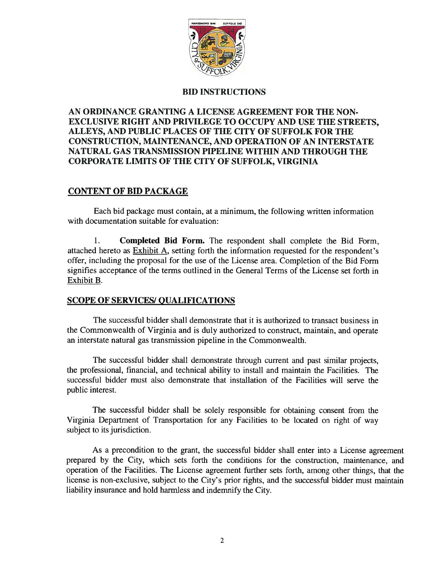

## BID INSTRUCTIONS

# AN ORDINANCE GRANTING A LICENSE AGREEMENT FOR THE NON-EXCLUSIVE RIGHT AND PRIVILEGE TO OCCUPY AND USE THE STREETS, ALLEYS, AND PUBLIC PLACES OF THE CITY OF SUFFOLK FOR THE CONSTRUCTION, MAINTENANCE, AND OPERATION OF AN INTERSTATE NATURAL GAS TRANSMISSION PIPELINE WITHIN AND THROUGH THE CORPORATE LIMITS OF THE CITY OF SUFFOLK, VIRGINIA

# CONTENT OF BID PACKAGE

Each bid package must contain, at <sup>a</sup> minimum, the following written information with documentation suitable for evaluation:

1. Completed Bid Form. The respondent shall complete the Bid Form, attached hereto as Exhibit A, setting forth the information requested for the respondent's offer, including the proposal for the use of the License area. Completion of the Bid Form signifies acceptance of the terms outlined in the General Terms of the License set forth in Exhibit B.

# **SCOPE OF SERVICES/ QUALIFICATIONS**

The successful bidder shall demonstrate that it is authorized to transact business in the Commonwealth of Virginia and is duly authorized to construct, maintain, and operate an interstate natural gas transmission pipeline in the Commonwealth.

The successful bidder shall demonstrate through current and pas<sup>t</sup> similar projects, the professional, financial, and technical ability to install and maintain the Facilities. The successful bidder must also demonstrate that installation of the Facilities will serve the public interest.

The successful bidder shall be solely responsible for obtaining consent from the Virginia Department of Transportation for any Facilities to be located on right of way subject to its jurisdiction.

As <sup>a</sup> precondition to the grant, the successful bidder shall enter into <sup>a</sup> License agreemen<sup>t</sup> prepared by the City, which sets forth the conditions for the construction, maintenance, and operation of the Facilities. The License agreemen<sup>t</sup> further sets forth, among other things, that the license is non-exclusive, subject to the City's prior rights, and the successful bidder must maintain liability insurance and hold harmless and indemnify the City.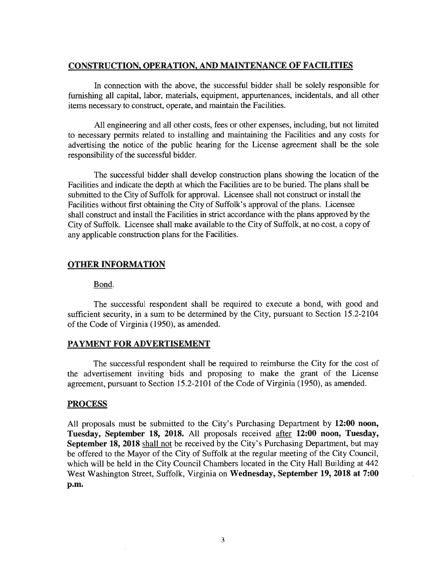## CONSTRUCTION, OPERATION, AND MAINTENANCE OF FACILITIES

In connection with the above, the successful bidder shall be solely responsible for furnishing all capital, labor, materials, equipment, appurtenances, incidentals, and all other items necessary to construct, operate, and maintain the Facilities.

All engineering and all other costs, fees or other expenses, including, but not limited to necessary permits related to installing and maintaining the Facilities and any costs for advertising the notice of the public hearing for the License agreemen<sup>t</sup> shall be the sole responsibility of the successful bidder.

The successful bidder shall develop construction plans showing the location of the Facilities and indicate the depth at which the Facilities are to be buried. The plans shall be submitted to the City of Suffolk for approval. Licensee shall not construct or install the Facilities without first obtaining the City of Suffolk's approval of the plans. Licensee shall construct and install the Facilities in strict accordance with the plans approved by the City of Suffolk. Licensee shall make available to the City of Suffolk, at no cost, <sup>a</sup> copy of any applicable construction plans for the Facilities.

## OTHER INFORMATION

#### Bond.

The successful respondent shall be required to execute <sup>a</sup> bond, with good and sufficient security, in <sup>a</sup> sum to be determined by the City, pursuan<sup>t</sup> to Section 15.2-2104 of the Code of Virginia (1950), as amended.

#### PAYMENT FOR ADVERTISEMENT

The successful respondent shall be required to reimburse the City for the cost of the advertisement inviting bids and proposing to make the gran<sup>t</sup> of the License agreement, pursuan<sup>t</sup> to Section 15.2-2101 of the Code of Virginia (1950), as amended.

#### PROCESS

All proposals must be submitted to the City's Purchasing Department by 12:00 noon, Tuesday, September 18, 2018. All proposals received after 12:00 noon, Tuesday, September 18, 2018 shall not be received by the City's Purchasing Department, but may be offered to the Mayor of the City of Suffolk at the regular meeting of the City Council, which will be held in the City Council Chambers located in the City Hall Building at 442 West Washington Street, Suffolk, Virginia on Wednesday, September 19, 2018 at 7:00 p.m.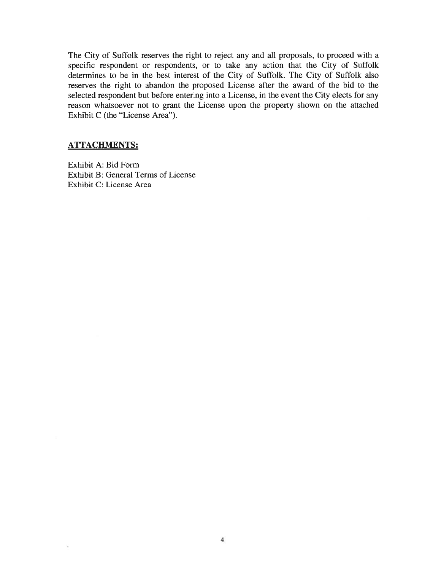The City of Suffolk reserves the right to reject any and all proposals, to proceed with <sup>a</sup> specific respondent or respondents, or to take any action that the City of Suffolk determines to be in the best interest of the City of Suffolk. The City of Suffolk also reserves the right to abandon the proposed License after the award of the bid to the selected respondent but before entering into <sup>a</sup> License, in the event the City elects for any reason whatsoever not to gran<sup>t</sup> the License upon the property shown on the attached Exhibit C (the "License Area").

## ATTACHMENTS:

 $\tilde{a}$ 

Exhibit A: Bid Form Exhibit B: General Terms of License Exhibit C: License Area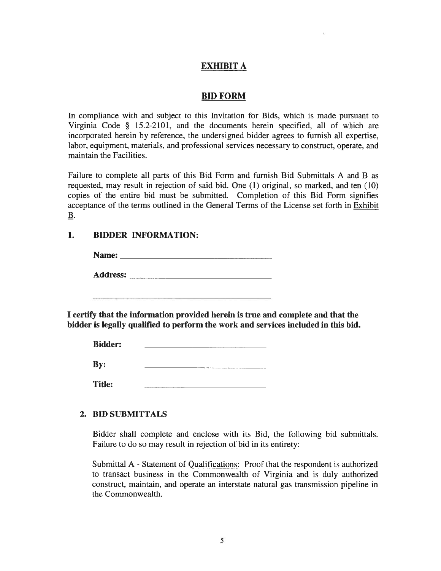# EXHIBIT A

## BID FORM

In compliance with and subject to this Invitation for Bids, which is made pursuan<sup>t</sup> to Virginia Code § 15.2-2101, and the documents herein specified, all of which are incorporated herein by reference, the undersigned bidder agrees to furnish all expertise, labor, equipment, materials, and professional services necessary to construct, operate, and maintain the Facilities.

Failure to complete all parts of this Bid Form and furnish Bid Submittals A and B as requested, may result in rejection of said bid. One (1) original, so marked, and ten (10) copies of the entire bid must be submitted. Completion of this Bid Form signifies acceptance of the terms outlined in the General Terms of the License set forth in Exhibit B. EXHIBIT A<br>
BID FORM<br>
In compliance with and subject to this Invitation for Bids, which is made pursu<br>
Virginia Code § 15.2-2101, and the documents herein specified, all of whice<br>
incorporated herein by reference, the under **EXHIBIT A**<br> **EDEPTAN**<br> **EDEPTAN**<br> **EDEPTAN**<br> **EDEPTAN**<br> **EQUESTAN**<br> **EQUESTAN**<br> **EQUESTAN**<br> **EQUESTAN**<br> **EQUESTAN**<br> **EQUESTAN**<br> **EQUESTAN**<br> **EQUESTAN**<br> **EDEPTAN**<br> **EDEPTAN**<br> **EDEPTAN**<br> **EDEPTAN**<br> **EDEPTANES**<br> **EDEPTANES** 

# 1. BIDDER INFORMATION:

| Name:           |  |
|-----------------|--|
| <b>Address:</b> |  |

bidder is legally qualified to perform the work and services included in this bid.

| <b>Bidder:</b> |  |
|----------------|--|
| By:            |  |
| <b>Title:</b>  |  |

Bidder shall complete and enclose with its Bid, the following bid submittals. Failure to do so may result in rejection of bid in its entirety:

Submittal A - Statement of Qualifications: Proof that the respondent is authorized to transact business in the Commonwealth of Virginia and is duly authorized construct, maintain, and operate an interstate natural gas transmission pipeline in the Commonwealth.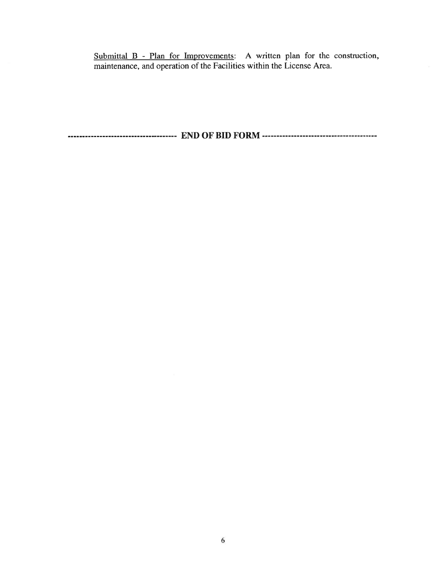Submittal B - Plan for Improvements: A written plan for the construction, maintenance, and operation of the Facilities within the License Area.

END OF BID FORM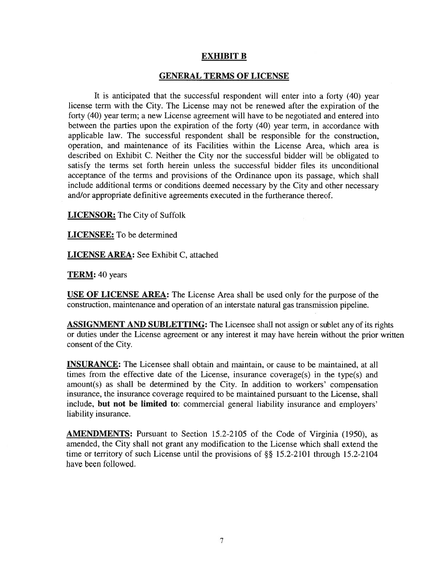## EXHIBIT B

#### GENERAL TERMS OF LICENSE

It is anticipated that the successful respondent will enter into <sup>a</sup> forty (40) year license term with the City. The License may not be renewed after the expiration of the forty (40) year term; <sup>a</sup> new License agreemen<sup>t</sup> will have to be negotiated and entered into between the parties upon the expiration of the forty (40) year term, in accordance with applicable law. The successful respondent shall be responsible for the construction, operation, and maintenance of its Facilities within the License Area, which area is described on Exhibit C. Neither the City nor the successful bidder will be obligated to satisfy the terms set forth herein unless the successful bidder files its unconditional acceptance of the terms and provisions of the Ordinance upon its passage, which shall include additional terms or conditions deemed necessary by the City and other necessary and/or appropriate definitive agreements executed in the furtherance thereof.

LICENSOR: The City of Suffolk

LICENSEE: To be determined

LICENSE AREA: See Exhibit C, attached

TERM: 40 years

USE OF LICENSE AREA: The License Area shall be used only for the purpose of the construction, maintenance and operation of an interstate natural gas transmission pipeline.

ASSIGNMENT AND SUBLETTING: The Licensee shall not assign or sublet any of its rights or duties under the License agreemen<sup>t</sup> or any interest it may have herein without the prior written consent of the City.

INSURANCE: The Licensee shall obtain and maintain, or cause to be maintained, at all times from the effective date of the License, insurance coverage(s) in the type(s) and amount(s) as shall be determined by the City. in addition to workers' compensation insurance, the insurance coverage required to be maintained pursuan<sup>t</sup> to the License, shall include, but not be limited to: commercial general liability insurance and employers' liability insurance.

AMENDMENTS: Pursuant to Section 15.2-2105 of the Code of Virginia (1950), as amended, the City shall not gran<sup>t</sup> any modification to the License which shall extend the time or territory of such License until the provisions of  $\S$ § 15.2-2101 through 15.2-2104 have been followed.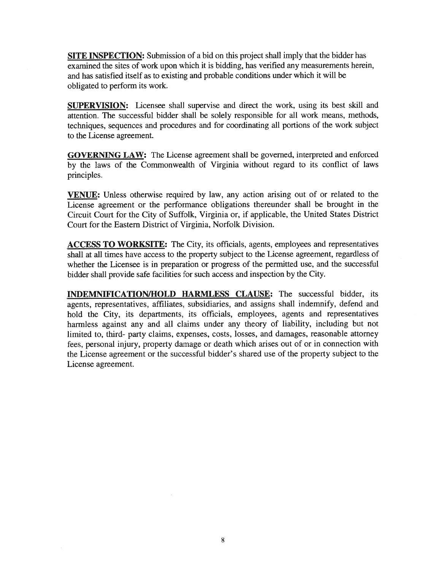SITE INSPECTION: Submission of <sup>a</sup> bid on this project shall imply that the bidder has examined the sites of work upon which it is bidding, has verified any measurements herein, and has satisfied itself as to existing and probable conditions under which it will be obligated to perform its work.

SUPERVISION: Licensee shall supervise and direct the work, using its best skill and attention. The successful bidder shall be solely responsible for all work means, methods, techniques, sequences and procedures and for coordinating all portions of the work subject to the License agreement.

GOVERNING LAW: The License agreemen<sup>t</sup> shall be governed, interpreted and enforced by the laws of the Commonwealth of Virginia without regar<sup>d</sup> to its conflict of laws principles.

VENUE: Unless otherwise required by law, any action arising out of or related to the License agreemen<sup>t</sup> or the performance obligations thereunder shall be brought in the Circuit Court for the City of Suffolk, Virginia or, if applicable, the United States District Court for the Eastern District of Virginia, Norfolk Division.

ACCESS TO WORKSITE: The City, its officials, agents, employees and representatives shall at all times have access to the property subject to the License agreement, regardless of whether the Licensee is in preparation or progress of the permitted use, and the successful bidder shall provide safe facilities for such access and inspection by the City.

INDEMNIFICATION/HOLD HARMLESS CLAUSE: The successful bidder, its agents, representatives, affiliates, subsidiaries, and assigns shall indemnify, defend and hold the City, its departments, its officials, employees, agents and representatives harmless against any and all claims under any theory of liability, including but not limited to, third- party claims, expenses, costs, losses, and damages, reasonable attorney fees, persona<sup>l</sup> injury, property damage or death which arises out of or in connection with the License agreemen<sup>t</sup> or the successful bidder's shared use of the property subject to the License agreement.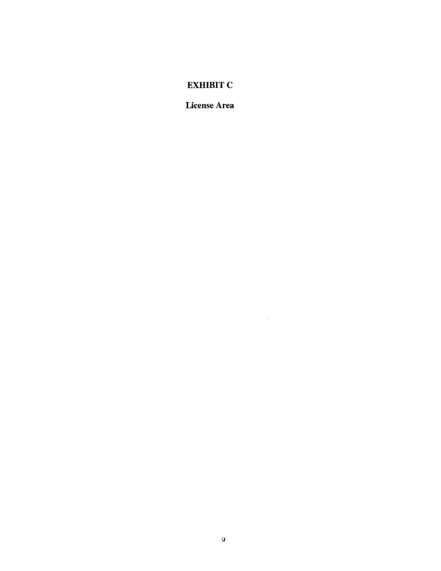## EXHIBIT C

License Area

 $\label{eq:1.1} \widetilde{\theta}$  is a set of the set of the set of the set of the set of the set of the set of the set of the set of the set of the set of the set of the set of the set of the set of the set of the set of the set of the